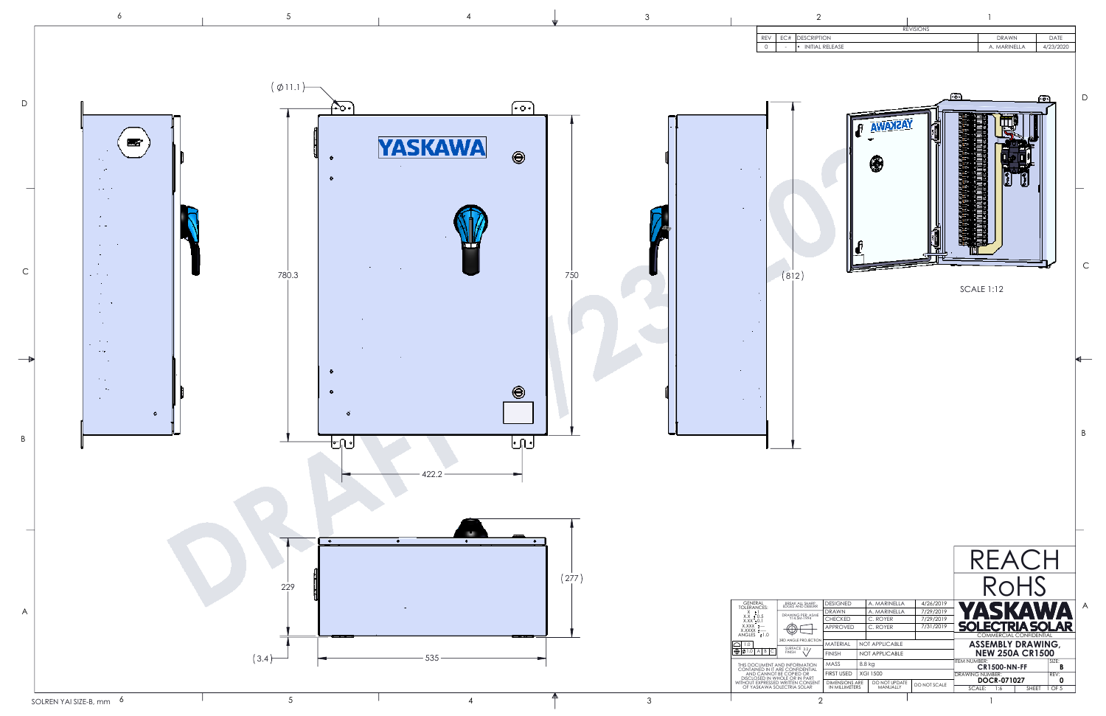

|             |        | $\overline{2}$                                                          |                                         |        |                              |                        |                        | 1                 |                                                    |       |                  |             |
|-------------|--------|-------------------------------------------------------------------------|-----------------------------------------|--------|------------------------------|------------------------|------------------------|-------------------|----------------------------------------------------|-------|------------------|-------------|
| REV         | EC#    | <b>DESCRIPTION</b>                                                      |                                         |        |                              | <b>REVISIONS</b>       |                        |                   | <b>DRAWN</b>                                       |       | DATE             |             |
| 0           | J.     | · INITIAL RELEASE                                                       |                                         |        |                              |                        |                        |                   | A. MARINELLA                                       |       | 4/23/2020        |             |
|             |        |                                                                         |                                         |        |                              |                        | ۰ō                     |                   |                                                    | ٠o    |                  | D           |
|             |        |                                                                         |                                         |        |                              |                        |                        |                   |                                                    |       |                  | $\mathsf C$ |
|             | (8 2)  |                                                                         |                                         |        |                              |                        |                        | <b>SCALE 1:12</b> |                                                    |       |                  |             |
|             |        |                                                                         |                                         |        |                              |                        |                        |                   |                                                    |       |                  | ⋹           |
|             |        |                                                                         |                                         |        |                              |                        |                        |                   |                                                    |       |                  | B           |
|             |        |                                                                         |                                         |        |                              |                        |                        |                   | REACH<br>ROHS                                      |       |                  |             |
| Г<br>ES:    |        | <b>BREAK ALL SHARP</b><br>EDGES AND DEBURR                              | <b>DESIGNED</b><br>DRAWN                |        | A. MARINELLA<br>A. MARINELLA | 4/26/2019<br>7/29/2019 | $\mathbf{A}$           |                   |                                                    |       | $\blacktriangle$ | A           |
| 5<br>L      |        | DRAWING PER: ASME<br>Y14.5M-1994                                        | <b>CHECKED</b>                          |        | C. ROYER                     | 7/29/2019              |                        |                   |                                                    |       |                  |             |
| ۰,<br>: 1.0 | $\Phi$ |                                                                         | APPROVED                                |        | C. ROYER                     | 7/31/2019              |                        |                   | <u>OLECTRIA SOLAR</u><br>COMMERCIAL CONFIDENTIAL   |       |                  |             |
| $B$ $C$     | FINISH | 3RD ANGLE PROJECTION<br>SURFACE 3.2/                                    | MATERIAL                                |        | NOT APPLICABLE               |                        |                        |                   | <b>ASSEMBLY DRAWING,</b><br><b>NEW 250A CR1500</b> |       |                  |             |
|             |        | MENT AND INFORMATION                                                    | <b>FINISH</b><br>MASS                   | 8.8 kg | NOT APPLICABLE               |                        | <b>ITEM NUMBER:</b>    |                   |                                                    |       | SIZE:            |             |
|             |        | D IN IT ARE CONFIDENTIAL<br>ANNOT BE COPIED OR<br>D IN WHOLE OR IN PART | <b>FIRST USED</b>                       |        | <b>XGI 1500</b>              |                        | <b>DRAWING NUMBER:</b> |                   | <b>CR1500-NN-FF</b>                                |       | В<br>REV:        |             |
|             |        | PRESSED WRITTEN CONSENT<br>AWA SOLECTRIA SOLAR                          | <b>DIMENSIONS ARE</b><br>IN MILLIMETERS |        | DO NOT UPDATE<br>MANUALLY    | DO NOT SCALE           | SCALE:                 | 1:6               | <b>DOCR-071027</b>                                 | SHEET | 0<br>1 OF 5      |             |
|             |        | っ                                                                       |                                         |        |                              |                        |                        | ı                 |                                                    |       |                  |             |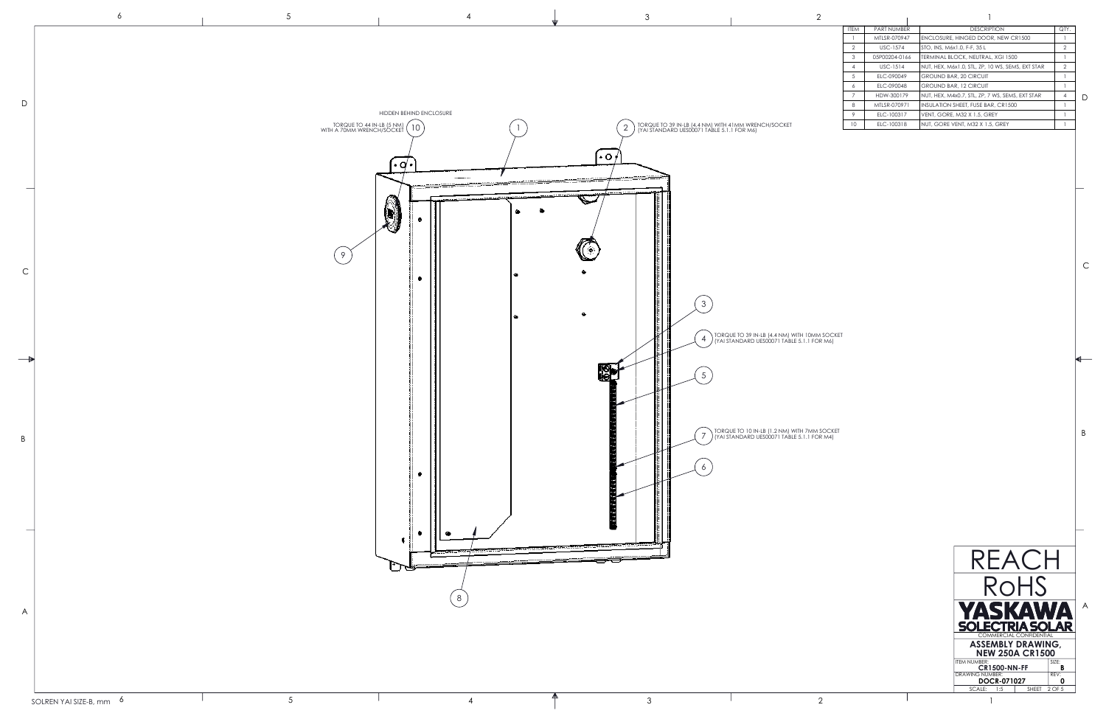|  |                         |  |  | <b>ITEM</b> | PART NUMBER     | <b>DESCRIPTION</b>                               | $\cap T$<br>ا الحا |  |
|--|-------------------------|--|--|-------------|-----------------|--------------------------------------------------|--------------------|--|
|  |                         |  |  |             |                 | MTLSR-070947 ENCLOSURE, HINGED DOOR, NEW CR1500  |                    |  |
|  |                         |  |  |             | <b>USC-1574</b> | STO, INS, M6x1.0, F-F, 35 L                      |                    |  |
|  |                         |  |  |             |                 | 05P00204-0166  TERMINAL BLOCK, NEUTRAL, XGI 1500 |                    |  |
|  |                         |  |  |             | <b>USC-1514</b> | NUT, HEX, M6x1.0, STL, ZP, 10 WS, SEMS, EXT STAR |                    |  |
|  |                         |  |  |             | ELC-090049      | <b>GROUND BAR, 20 CIRCUIT</b>                    |                    |  |
|  |                         |  |  |             | ELC-090048      | GROUND BAR, 12 CIRCUIT                           |                    |  |
|  |                         |  |  |             | HDW-300179      | NUT, HEX, M4x0.7, STL, ZP, 7 WS, SEMS, EXT STAR  |                    |  |
|  |                         |  |  |             | MTLSR-070971    | INSULATION SHEET, FUSE BAR, CR1500               |                    |  |
|  | HIDDEN BEHIND ENCLOSURE |  |  |             | ELC-100317      | VENT, GORE, M32 X 1.5, GREY                      |                    |  |

10 ELC-100318 NUT, GORE VENT, M32 X 1.5, GREY

B

C



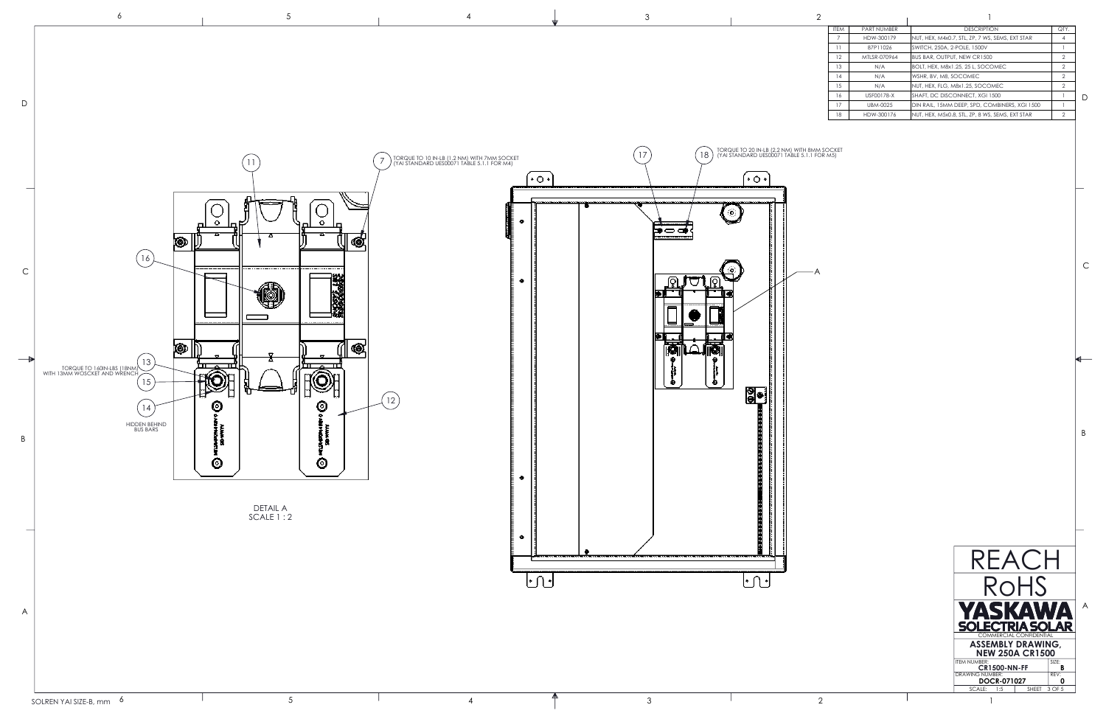A

| <b>ITEM</b> | <b>PART NUMBER</b> | <b>DESCRIPTION</b>                              | QTY.           |   |
|-------------|--------------------|-------------------------------------------------|----------------|---|
|             | HDW-300179         | NUT, HEX, M4x0.7, STL, ZP, 7 WS, SEMS, EXT STAR | 4              |   |
| 11          | 87P11026           | SWITCH, 250A, 2-POLE, 1500V                     |                |   |
| 12          | MTI SR-070964      | BUS BAR, OUTPUT, NEW CR1500                     | $\overline{2}$ |   |
| 13          | N/A                | BOLT, HEX, M8x1.25, 25 L, SOCOMEC               | $\mathcal{P}$  |   |
| 14          | N/A                | WSHR, BV, M8, SOCOMEC                           | $\mathcal{P}$  |   |
| 15          | N/A                | NUT, HEX, FLG, M8x1.25, SOCOMEC                 | $\mathcal{P}$  |   |
| 16          | USF00178-X         | SHAFT, DC DISCONNECT, XGI 1500                  |                | D |
| 17          | UBM-0025           | DIN RAIL, 15MM DEEP, SPD, COMBINERS, XGI 1500   |                |   |
| 18          | HDW-300176         | NUT, HEX, M5x0.8, STL, ZP, 8 WS, SEMS, EXT STAR | $\mathcal{P}$  |   |
|             |                    |                                                 |                |   |

A

B

C



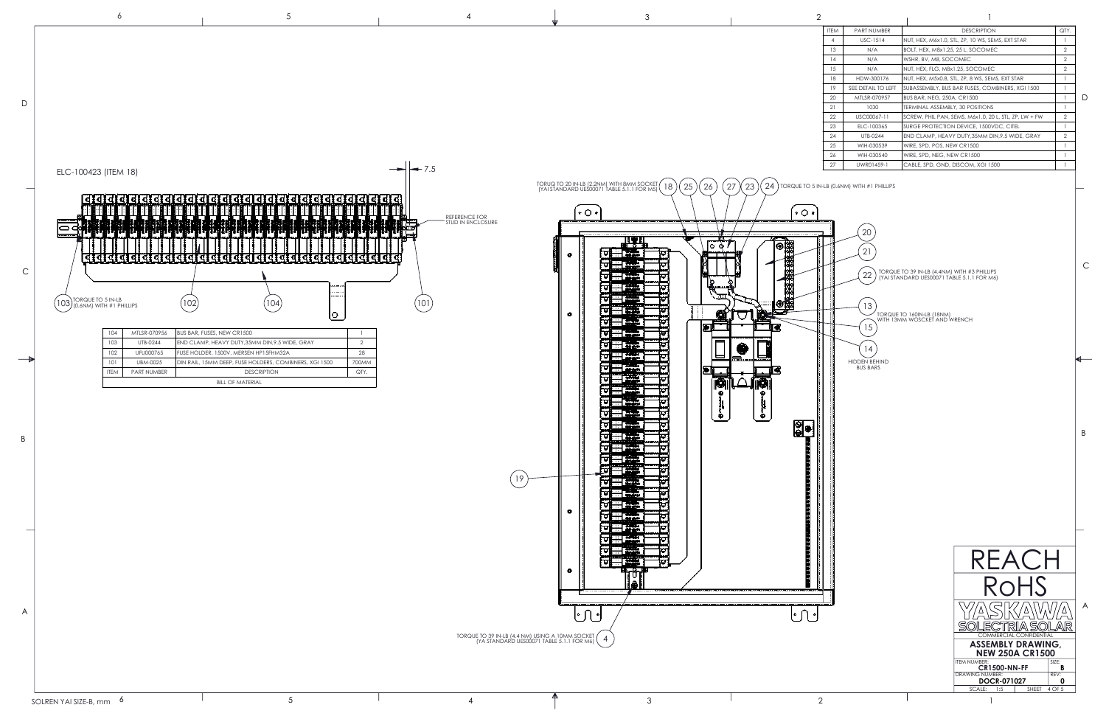|          |         |  |  | <b>ITEM</b> | PART NUMBER        | <b>DESCRIPTION</b>                                    | QTY. |   |
|----------|---------|--|--|-------------|--------------------|-------------------------------------------------------|------|---|
|          |         |  |  |             | <b>USC-1514</b>    | NUT, HEX, M6x1.0, STL, ZP, 10 WS, SEMS, EXT STAR      |      |   |
|          |         |  |  | 13          | N/A                | BOLT, HEX, M8x1.25, 25 L, SOCOMEC                     |      |   |
|          |         |  |  | 14          | N/A                | WSHR, BV, M8, SOCOMEC                                 |      |   |
|          |         |  |  | 15          | N/A                | NUT, HEX, FLG, M8x1.25, SOCOMEC                       |      |   |
|          |         |  |  | 18          | HDW-300176         | NUT, HEX, M5x0.8, STL, ZP, 8 WS, SEMS, EXT STAR       |      |   |
|          |         |  |  | 19          | SEE DETAIL TO LEFT | SUBASSEMBLY, BUS BAR FUSES, COMBINERS, XGI 1500       |      |   |
|          |         |  |  | 20          | MTLSR-070957       | <b>BUS BAR, NEG, 250A, CR1500</b>                     |      | D |
|          |         |  |  | 21          | 1030               | TERMINAL ASSEMBLY, 30 POSITIONS                       |      |   |
|          |         |  |  | 22          | USC00067-11        | SCREW, PHIL PAN, SEMS, M6x1.0, 20 L, STL, ZP, LW + FW |      |   |
|          |         |  |  | 23          | ELC-100365         | SURGE PROTECTION DEVICE, 1500VDC, CITEL               |      |   |
|          |         |  |  | 24          | UTB-0244           | END CLAMP, HEAVY DUTY, 35MM DIN, 9.5 WIDE, GRAY       |      |   |
|          |         |  |  | 25          | WIH-030539         | WIRE, SPD, POS, NEW CR1500                            |      |   |
|          |         |  |  | 26          | WIH-030540         | WIRE, SPD, NEG, NEW CR1500                            |      |   |
| $\cdots$ | $ -$ 75 |  |  | 27          | UWR01459-1         | CABLE, SPD, GND, DISCOM, XGI 1500                     |      |   |

A

**B** 

B

C



|  |    | v |    |
|--|----|---|----|
|  | ۰, |   |    |
|  |    |   |    |
|  |    |   | ۰. |